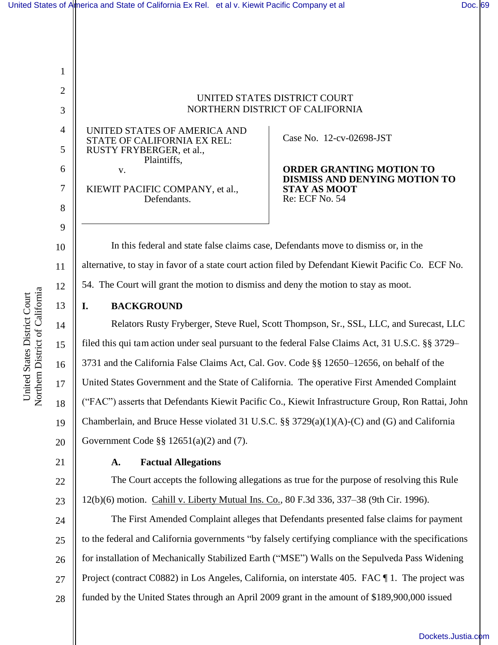UNITED STATES DISTRICT COURT NORTHERN DISTRICT OF CALIFORNIA

UNITED STATES OF AMERICA AND STATE OF CALIFORNIA EX REL: RUSTY FRYBERGER, et al., Plaintiffs, v.

KIEWIT PACIFIC COMPANY, et al., Defendants.

Case No. 12-cv-02698-JST

**ORDER GRANTING MOTION TO DISMISS AND DENYING MOTION TO STAY AS MOOT**  Re: ECF No. 54

In this federal and state false claims case, Defendants move to dismiss or, in the alternative, to stay in favor of a state court action filed by Defendant Kiewit Pacific Co. ECF No. 54. The Court will grant the motion to dismiss and deny the motion to stay as moot.

#### **I. BACKGROUND**

Relators Rusty Fryberger, Steve Ruel, Scott Thompson, Sr., SSL, LLC, and Surecast, LLC filed this qui tam action under seal pursuant to the federal False Claims Act, 31 U.S.C. §§ 3729– 3731 and the California False Claims Act, Cal. Gov. Code §§ 12650–12656, on behalf of the United States Government and the State of California. The operative First Amended Complaint ("FAC") asserts that Defendants Kiewit Pacific Co., Kiewit Infrastructure Group, Ron Rattai, John Chamberlain, and Bruce Hesse violated 31 U.S.C. §§ 3729(a)(1)(A)-(C) and (G) and California Government Code §§ 12651(a)(2) and (7).

# **A. Factual Allegations**

The Court accepts the following allegations as true for the purpose of resolving this Rule 12(b)(6) motion. Cahill v. Liberty Mutual Ins. Co., 80 F.3d 336, 337–38 (9th Cir. 1996).

24 25 26 27 28 The First Amended Complaint alleges that Defendants presented false claims for payment to the federal and California governments "by falsely certifying compliance with the specifications for installation of Mechanically Stabilized Earth ("MSE") Walls on the Sepulveda Pass Widening Project (contract C0882) in Los Angeles, California, on interstate 405. FAC ¶ 1. The project was funded by the United States through an April 2009 grant in the amount of \$189,900,000 issued

1

2

3

4

5

6

7

8

9

10

11

12

13

14

15

16

17

18

19

20

21

22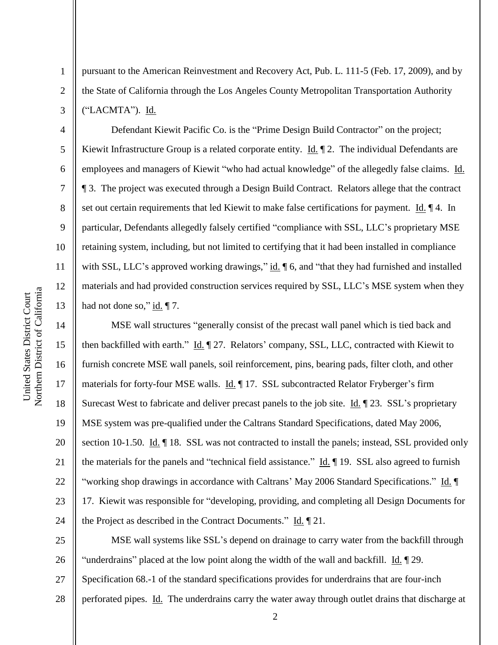2

3

4

5

6

7

8

9

10

11

12

13

pursuant to the American Reinvestment and Recovery Act, Pub. L. 111-5 (Feb. 17, 2009), and by the State of California through the Los Angeles County Metropolitan Transportation Authority ("LACMTA"). Id.

Defendant Kiewit Pacific Co. is the "Prime Design Build Contractor" on the project; Kiewit Infrastructure Group is a related corporate entity. Id.  $\parallel$  2. The individual Defendants are employees and managers of Kiewit "who had actual knowledge" of the allegedly false claims. Id. ¶ 3. The project was executed through a Design Build Contract. Relators allege that the contract set out certain requirements that led Kiewit to make false certifications for payment. Id. 14. In particular, Defendants allegedly falsely certified "compliance with SSL, LLC's proprietary MSE retaining system, including, but not limited to certifying that it had been installed in compliance with SSL, LLC's approved working drawings," id.  $\parallel$  6, and "that they had furnished and installed materials and had provided construction services required by SSL, LLC's MSE system when they had not done so,"  $\underline{\text{id}}$ .  $\P$  7.

14 15 16 17 18 19 20 21 22 23 24 MSE wall structures "generally consist of the precast wall panel which is tied back and then backfilled with earth." Id. 127. Relators' company, SSL, LLC, contracted with Kiewit to furnish concrete MSE wall panels, soil reinforcement, pins, bearing pads, filter cloth, and other materials for forty-four MSE walls. Id. 17. SSL subcontracted Relator Fryberger's firm Surecast West to fabricate and deliver precast panels to the job site. Id. ¶ 23. SSL's proprietary MSE system was pre-qualified under the Caltrans Standard Specifications, dated May 2006, section 10-1.50. Id. 18. SSL was not contracted to install the panels; instead, SSL provided only the materials for the panels and "technical field assistance." Id. ¶ 19. SSL also agreed to furnish "working shop drawings in accordance with Caltrans' May 2006 Standard Specifications." Id. ¶ 17. Kiewit was responsible for "developing, providing, and completing all Design Documents for the Project as described in the Contract Documents." Id. 121.

25 26 27 28 MSE wall systems like SSL's depend on drainage to carry water from the backfill through "underdrains" placed at the low point along the width of the wall and backfill. Id. ¶ 29. Specification 68.-1 of the standard specifications provides for underdrains that are four-inch perforated pipes. Id. The underdrains carry the water away through outlet drains that discharge at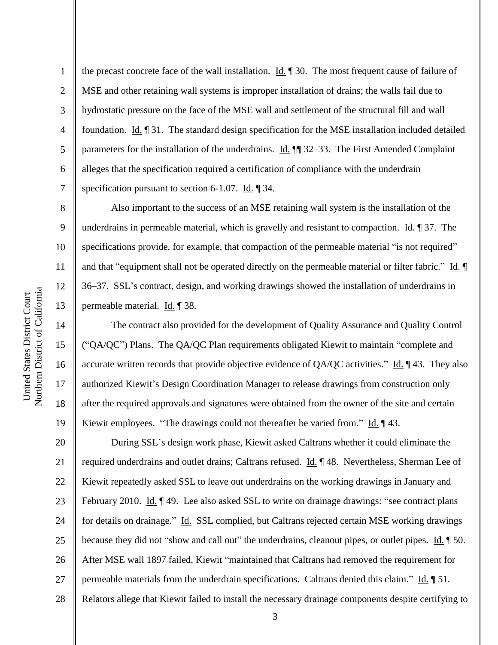2

3

4

5

6

7

8

9

10

11

12

13

14

15

16

17

18

19

the precast concrete face of the wall installation.  $\underline{Id}$ .  $\P$  30. The most frequent cause of failure of MSE and other retaining wall systems is improper installation of drains; the walls fail due to hydrostatic pressure on the face of the MSE wall and settlement of the structural fill and wall foundation. Id. ¶ 31. The standard design specification for the MSE installation included detailed parameters for the installation of the underdrains. Id. ¶¶ 32–33. The First Amended Complaint alleges that the specification required a certification of compliance with the underdrain specification pursuant to section 6-1.07. Id. 1 34.

Also important to the success of an MSE retaining wall system is the installation of the underdrains in permeable material, which is gravelly and resistant to compaction. Id.  $\parallel$  37. The specifications provide, for example, that compaction of the permeable material "is not required" and that "equipment shall not be operated directly on the permeable material or filter fabric." Id. 36–37. SSL's contract, design, and working drawings showed the installation of underdrains in permeable material. Id. ¶ 38.

The contract also provided for the development of Quality Assurance and Quality Control ("QA/QC") Plans. The QA/QC Plan requirements obligated Kiewit to maintain "complete and accurate written records that provide objective evidence of  $QA/QC$  activities." Id.  $\P$  43. They also authorized Kiewit's Design Coordination Manager to release drawings from construction only after the required approvals and signatures were obtained from the owner of the site and certain Kiewit employees. "The drawings could not thereafter be varied from." Id.  $\P$  43.

20 21 22 23 24 25 26 27 28 During SSL's design work phase, Kiewit asked Caltrans whether it could eliminate the required underdrains and outlet drains; Caltrans refused. Id. ¶ 48. Nevertheless, Sherman Lee of Kiewit repeatedly asked SSL to leave out underdrains on the working drawings in January and February 2010. Id. 149. Lee also asked SSL to write on drainage drawings: "see contract plans for details on drainage." Id. SSL complied, but Caltrans rejected certain MSE working drawings because they did not "show and call out" the underdrains, cleanout pipes, or outlet pipes. Id. 150. After MSE wall 1897 failed, Kiewit "maintained that Caltrans had removed the requirement for permeable materials from the underdrain specifications. Caltrans denied this claim." Id. 151. Relators allege that Kiewit failed to install the necessary drainage components despite certifying to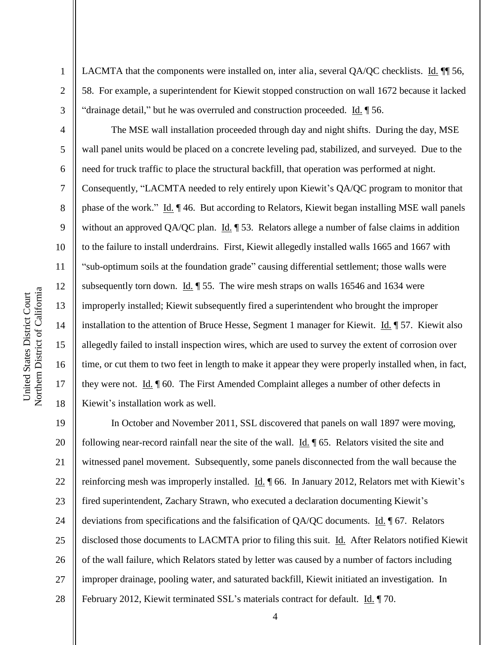2

3

4

5

6

7

8

9

10

11

12

13

14

15

16

17

18

LACMTA that the components were installed on, inter alia, several QA/QC checklists. Id.  $\P$  56, 58. For example, a superintendent for Kiewit stopped construction on wall 1672 because it lacked "drainage detail," but he was overruled and construction proceeded.  $\underline{Id}$ .  $\P$  56.

The MSE wall installation proceeded through day and night shifts. During the day, MSE wall panel units would be placed on a concrete leveling pad, stabilized, and surveyed. Due to the need for truck traffic to place the structural backfill, that operation was performed at night. Consequently, "LACMTA needed to rely entirely upon Kiewit's QA/QC program to monitor that phase of the work." Id. ¶ 46. But according to Relators, Kiewit began installing MSE wall panels without an approved QA/QC plan. Id.  $\parallel$  53. Relators allege a number of false claims in addition to the failure to install underdrains. First, Kiewit allegedly installed walls 1665 and 1667 with "sub-optimum soils at the foundation grade" causing differential settlement; those walls were subsequently torn down. Id.  $\parallel$  55. The wire mesh straps on walls 16546 and 1634 were improperly installed; Kiewit subsequently fired a superintendent who brought the improper installation to the attention of Bruce Hesse, Segment 1 manager for Kiewit. Id. ¶ 57. Kiewit also allegedly failed to install inspection wires, which are used to survey the extent of corrosion over time, or cut them to two feet in length to make it appear they were properly installed when, in fact, they were not. Id. ¶ 60. The First Amended Complaint alleges a number of other defects in Kiewit's installation work as well.

19 20 21 22 23 24 25 26 27 28 In October and November 2011, SSL discovered that panels on wall 1897 were moving, following near-record rainfall near the site of the wall.  $\underline{Id}$ .  $\P$  65. Relators visited the site and witnessed panel movement. Subsequently, some panels disconnected from the wall because the reinforcing mesh was improperly installed. Id. 166. In January 2012, Relators met with Kiewit's fired superintendent, Zachary Strawn, who executed a declaration documenting Kiewit's deviations from specifications and the falsification of QA/QC documents. Id. ¶ 67. Relators disclosed those documents to LACMTA prior to filing this suit. Id. After Relators notified Kiewit of the wall failure, which Relators stated by letter was caused by a number of factors including improper drainage, pooling water, and saturated backfill, Kiewit initiated an investigation. In February 2012, Kiewit terminated SSL's materials contract for default. Id. 170.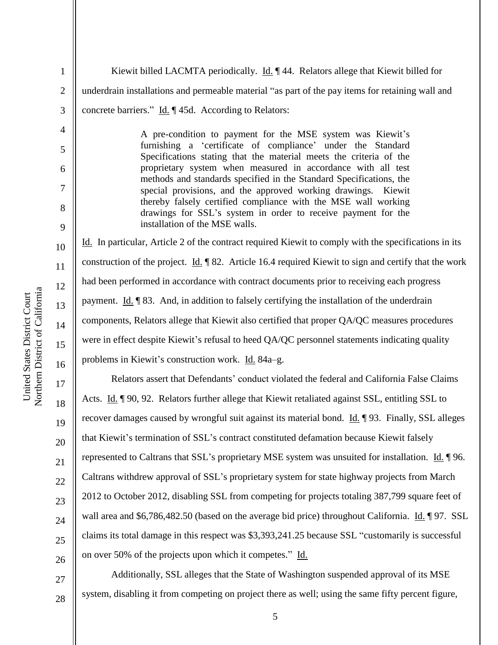1 2 3 Kiewit billed LACMTA periodically. Id. ¶ 44. Relators allege that Kiewit billed for underdrain installations and permeable material "as part of the pay items for retaining wall and concrete barriers." Id. ¶ 45d. According to Relators:

> A pre-condition to payment for the MSE system was Kiewit's furnishing a 'certificate of compliance' under the Standard Specifications stating that the material meets the criteria of the proprietary system when measured in accordance with all test methods and standards specified in the Standard Specifications, the special provisions, and the approved working drawings. Kiewit thereby falsely certified compliance with the MSE wall working drawings for SSL's system in order to receive payment for the installation of the MSE walls.

Id. In particular, Article 2 of the contract required Kiewit to comply with the specifications in its construction of the project. Id. ¶ 82. Article 16.4 required Kiewit to sign and certify that the work had been performed in accordance with contract documents prior to receiving each progress payment. Id. ¶ 83. And, in addition to falsely certifying the installation of the underdrain components, Relators allege that Kiewit also certified that proper QA/QC measures procedures were in effect despite Kiewit's refusal to heed QA/QC personnel statements indicating quality problems in Kiewit's construction work. Id. 84a–g.

Relators assert that Defendants' conduct violated the federal and California False Claims Acts. Id. ¶ 90, 92. Relators further allege that Kiewit retaliated against SSL, entitling SSL to recover damages caused by wrongful suit against its material bond. Id. 193. Finally, SSL alleges that Kiewit's termination of SSL's contract constituted defamation because Kiewit falsely represented to Caltrans that SSL's proprietary MSE system was unsuited for installation. Id. ¶ 96. Caltrans withdrew approval of SSL's proprietary system for state highway projects from March 2012 to October 2012, disabling SSL from competing for projects totaling 387,799 square feet of wall area and \$6,786,482.50 (based on the average bid price) throughout California. Id. ¶ 97. SSL claims its total damage in this respect was \$3,393,241.25 because SSL "customarily is successful on over 50% of the projects upon which it competes." Id.

Additionally, SSL alleges that the State of Washington suspended approval of its MSE system, disabling it from competing on project there as well; using the same fifty percent figure,

4

5

6

7

8

9

10

11

12

13

14

15

16

17

18

19

20

21

22

23

24

25

26

27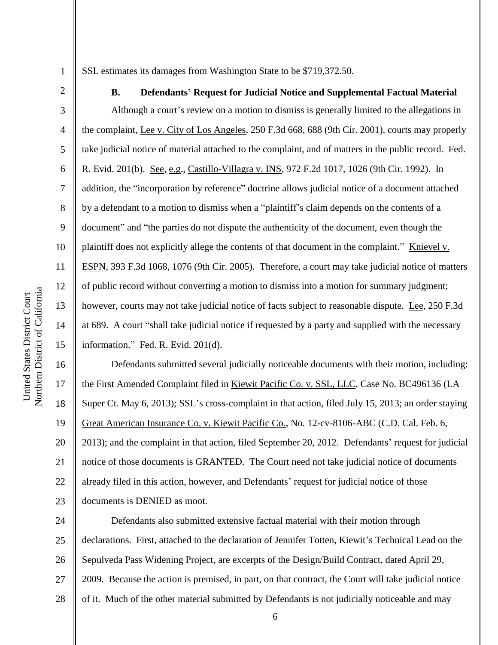3

4

5

6

7

8

9

10

11

12

13

14

15

SSL estimates its damages from Washington State to be \$719,372.50.

**B. Defendants' Request for Judicial Notice and Supplemental Factual Material**  Although a court's review on a motion to dismiss is generally limited to the allegations in the complaint, Lee v. City of Los Angeles, 250 F.3d 668, 688 (9th Cir. 2001), courts may properly take judicial notice of material attached to the complaint, and of matters in the public record. Fed. R. Evid. 201(b). See, e.g., Castillo-Villagra v. INS, 972 F.2d 1017, 1026 (9th Cir. 1992). In addition, the "incorporation by reference" doctrine allows judicial notice of a document attached by a defendant to a motion to dismiss when a "plaintiff's claim depends on the contents of a document" and "the parties do not dispute the authenticity of the document, even though the plaintiff does not explicitly allege the contents of that document in the complaint." Knievel v. ESPN, 393 F.3d 1068, 1076 (9th Cir. 2005). Therefore, a court may take judicial notice of matters of public record without converting a motion to dismiss into a motion for summary judgment; however, courts may not take judicial notice of facts subject to reasonable dispute. Lee, 250 F.3d at 689. A court "shall take judicial notice if requested by a party and supplied with the necessary information." Fed. R. Evid. 201(d).

16 17 18 19 20 21 22 23 Defendants submitted several judicially noticeable documents with their motion, including: the First Amended Complaint filed in Kiewit Pacific Co. v. SSL, LLC, Case No. BC496136 (LA Super Ct. May 6, 2013); SSL's cross-complaint in that action, filed July 15, 2013; an order staying Great American Insurance Co. v. Kiewit Pacific Co., No. 12-cv-8106-ABC (C.D. Cal. Feb. 6, 2013); and the complaint in that action, filed September 20, 2012. Defendants' request for judicial notice of those documents is GRANTED. The Court need not take judicial notice of documents already filed in this action, however, and Defendants' request for judicial notice of those documents is DENIED as moot.

24 25 26 27 28 Defendants also submitted extensive factual material with their motion through declarations. First, attached to the declaration of Jennifer Totten, Kiewit's Technical Lead on the Sepulveda Pass Widening Project, are excerpts of the Design/Build Contract, dated April 29, 2009. Because the action is premised, in part, on that contract, the Court will take judicial notice of it. Much of the other material submitted by Defendants is not judicially noticeable and may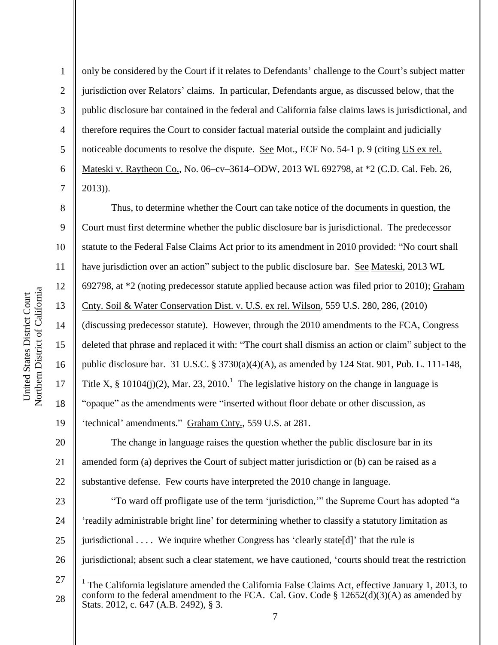8

9

11

12

13

14

15

17

18

19

2 3 4 5 6 7 only be considered by the Court if it relates to Defendants' challenge to the Court's subject matter jurisdiction over Relators' claims. In particular, Defendants argue, as discussed below, that the public disclosure bar contained in the federal and California false claims laws is jurisdictional, and therefore requires the Court to consider factual material outside the complaint and judicially noticeable documents to resolve the dispute. See Mot., ECF No. 54-1 p. 9 (citing US ex rel. Mateski v. Raytheon Co., No. 06–cv–3614–ODW, 2013 WL 692798, at \*2 (C.D. Cal. Feb. 26, 2013)).

10 16 Thus, to determine whether the Court can take notice of the documents in question, the Court must first determine whether the public disclosure bar is jurisdictional. The predecessor statute to the Federal False Claims Act prior to its amendment in 2010 provided: "No court shall have jurisdiction over an action" subject to the public disclosure bar. See Mateski, 2013 WL 692798, at \*2 (noting predecessor statute applied because action was filed prior to 2010); Graham Cnty. Soil & Water Conservation Dist. v. U.S. ex rel. Wilson, 559 U.S. 280, 286, (2010) (discussing predecessor statute). However, through the 2010 amendments to the FCA, Congress deleted that phrase and replaced it with: "The court shall dismiss an action or claim" subject to the public disclosure bar. 31 U.S.C. § 3730(a)(4)(A), as amended by 124 Stat. 901, Pub. L. 111-148, Title X, § 10104(j)(2), Mar. 23, 2010.<sup>1</sup> The legislative history on the change in language is "opaque" as the amendments were "inserted without floor debate or other discussion, as 'technical' amendments." Graham Cnty., 559 U.S. at 281.

20 21 22 The change in language raises the question whether the public disclosure bar in its amended form (a) deprives the Court of subject matter jurisdiction or (b) can be raised as a substantive defense. Few courts have interpreted the 2010 change in language.

23 24 25 26 "To ward off profligate use of the term 'jurisdiction,'" the Supreme Court has adopted "a 'readily administrable bright line' for determining whether to classify a statutory limitation as jurisdictional . . . . We inquire whether Congress has 'clearly state[d]' that the rule is jurisdictional; absent such a clear statement, we have cautioned, 'courts should treat the restriction

 $\overline{\phantom{a}}$ 

<sup>27</sup> 

<sup>1</sup> The California legislature amended the California False Claims Act, effective January 1, 2013, to conform to the federal amendment to the FCA. Cal. Gov. Code  $\S$  12652(d)(3)(A) as amended by Stats. 2012, c. 647 (A.B. 2492), § 3.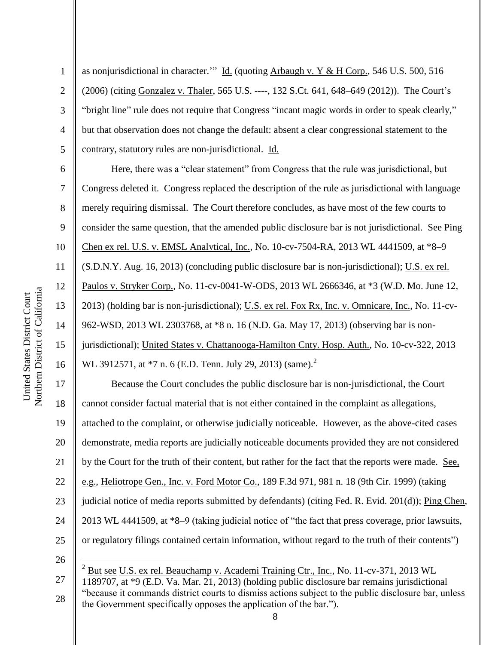Northern District of California Northern District of California United States District Court United States District Court

1

9

11

13

15

2 3 4 5 as nonjurisdictional in character." Id. (quoting Arbaugh v. Y & H Corp., 546 U.S. 500, 516 (2006) (citing Gonzalez v. Thaler, 565 U.S. ----, 132 S.Ct. 641, 648–649 (2012)). The Court's "bright line" rule does not require that Congress "incant magic words in order to speak clearly," but that observation does not change the default: absent a clear congressional statement to the contrary, statutory rules are non-jurisdictional. Id.

6 7 8 10 12 14 16 Here, there was a "clear statement" from Congress that the rule was jurisdictional, but Congress deleted it. Congress replaced the description of the rule as jurisdictional with language merely requiring dismissal. The Court therefore concludes, as have most of the few courts to consider the same question, that the amended public disclosure bar is not jurisdictional. See Ping Chen ex rel. U.S. v. EMSL Analytical, Inc., No. 10-cv-7504-RA, 2013 WL 4441509, at \*8–9 (S.D.N.Y. Aug. 16, 2013) (concluding public disclosure bar is non-jurisdictional); U.S. ex rel. Paulos v. Stryker Corp., No. 11-cv-0041-W-ODS, 2013 WL 2666346, at \*3 (W.D. Mo. June 12, 2013) (holding bar is non-jurisdictional); U.S. ex rel. Fox Rx, Inc. v. Omnicare, Inc., No. 11-cv-962-WSD, 2013 WL 2303768, at \*8 n. 16 (N.D. Ga. May 17, 2013) (observing bar is nonjurisdictional); United States v. Chattanooga-Hamilton Cnty. Hosp. Auth., No. 10-cv-322, 2013 WL 3912571, at  $*7$  n. 6 (E.D. Tenn. July 29, 2013) (same).<sup>2</sup>

17 18 19 20 21 22 23 24 25 Because the Court concludes the public disclosure bar is non-jurisdictional, the Court cannot consider factual material that is not either contained in the complaint as allegations, attached to the complaint, or otherwise judicially noticeable. However, as the above-cited cases demonstrate, media reports are judicially noticeable documents provided they are not considered by the Court for the truth of their content, but rather for the fact that the reports were made. See, e.g., Heliotrope Gen., Inc. v. Ford Motor Co., 189 F.3d 971, 981 n. 18 (9th Cir. 1999) (taking judicial notice of media reports submitted by defendants) (citing Fed. R. Evid. 201(d)); Ping Chen, 2013 WL 4441509, at \*8–9 (taking judicial notice of "the fact that press coverage, prior lawsuits, or regulatory filings contained certain information, without regard to the truth of their contents")

26

 $\overline{a}$ 

27

<sup>2</sup> But see U.S. ex rel. Beauchamp v. Academi Training Ctr., Inc., No. 11-cv-371, 2013 WL 1189707, at \*9 (E.D. Va. Mar. 21, 2013) (holding public disclosure bar remains jurisdictional "because it commands district courts to dismiss actions subject to the public disclosure bar, unless the Government specifically opposes the application of the bar.").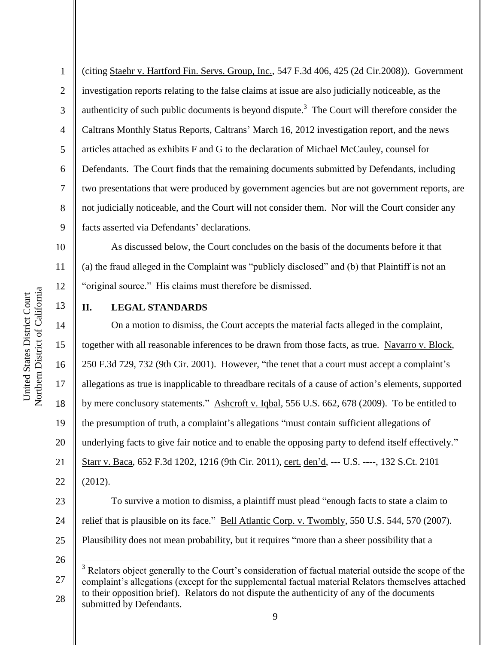11

12

13

1 2 3 4 5 6 7 8 9 (citing Staehr v. Hartford Fin. Servs. Group, Inc., 547 F.3d 406, 425 (2d Cir.2008)). Government investigation reports relating to the false claims at issue are also judicially noticeable, as the authenticity of such public documents is beyond dispute.<sup>3</sup> The Court will therefore consider the Caltrans Monthly Status Reports, Caltrans' March 16, 2012 investigation report, and the news articles attached as exhibits F and G to the declaration of Michael McCauley, counsel for Defendants. The Court finds that the remaining documents submitted by Defendants, including two presentations that were produced by government agencies but are not government reports, are not judicially noticeable, and the Court will not consider them. Nor will the Court consider any facts asserted via Defendants' declarations.

As discussed below, the Court concludes on the basis of the documents before it that (a) the fraud alleged in the Complaint was "publicly disclosed" and (b) that Plaintiff is not an "original source." His claims must therefore be dismissed.

#### **II. LEGAL STANDARDS**

14 15 16 17 18 19 20 21 22 On a motion to dismiss, the Court accepts the material facts alleged in the complaint, together with all reasonable inferences to be drawn from those facts, as true. Navarro v. Block, 250 F.3d 729, 732 (9th Cir. 2001). However, "the tenet that a court must accept a complaint's allegations as true is inapplicable to threadbare recitals of a cause of action's elements, supported by mere conclusory statements." Ashcroft v. Iqbal, 556 U.S. 662, 678 (2009). To be entitled to the presumption of truth, a complaint's allegations "must contain sufficient allegations of underlying facts to give fair notice and to enable the opposing party to defend itself effectively." Starr v. Baca, 652 F.3d 1202, 1216 (9th Cir. 2011), cert. den'd, --- U.S. ----, 132 S.Ct. 2101 (2012).

23 24 25 To survive a motion to dismiss, a plaintiff must plead "enough facts to state a claim to relief that is plausible on its face." Bell Atlantic Corp. v. Twombly, 550 U.S. 544, 570 (2007). Plausibility does not mean probability, but it requires "more than a sheer possibility that a

26

 $\overline{a}$ 

<sup>27</sup>  28 <sup>3</sup> Relators object generally to the Court's consideration of factual material outside the scope of the complaint's allegations (except for the supplemental factual material Relators themselves attached to their opposition brief). Relators do not dispute the authenticity of any of the documents submitted by Defendants.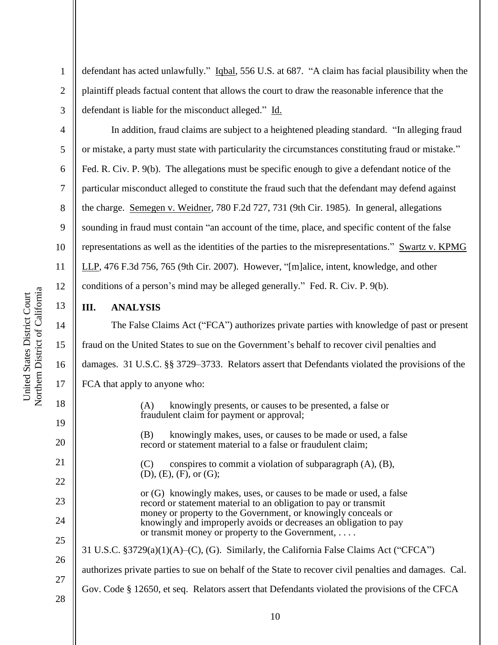2

3

4

5

6

7

8

9

10

11

12

13

14

15

16

17

18

19

20

21

22

23

24

25

26

27

defendant has acted unlawfully." Iqbal, 556 U.S. at 687. "A claim has facial plausibility when the plaintiff pleads factual content that allows the court to draw the reasonable inference that the defendant is liable for the misconduct alleged." Id.

In addition, fraud claims are subject to a heightened pleading standard. "In alleging fraud or mistake, a party must state with particularity the circumstances constituting fraud or mistake." Fed. R. Civ. P. 9(b). The allegations must be specific enough to give a defendant notice of the particular misconduct alleged to constitute the fraud such that the defendant may defend against the charge. Semegen v. Weidner, 780 F.2d 727, 731 (9th Cir. 1985). In general, allegations sounding in fraud must contain "an account of the time, place, and specific content of the false representations as well as the identities of the parties to the misrepresentations." Swartz v. KPMG LLP, 476 F.3d 756, 765 (9th Cir. 2007). However, "[m]alice, intent, knowledge, and other conditions of a person's mind may be alleged generally." Fed. R. Civ. P. 9(b).

#### **III. ANALYSIS**

The False Claims Act ("FCA") authorizes private parties with knowledge of past or present fraud on the United States to sue on the Government's behalf to recover civil penalties and damages. 31 U.S.C. §§ 3729–3733. Relators assert that Defendants violated the provisions of the FCA that apply to anyone who: (A) knowingly presents, or causes to be presented, a false or

> (B) knowingly makes, uses, or causes to be made or used, a false record or statement material to a false or fraudulent claim;

 $(C)$  conspires to commit a violation of subparagraph  $(A)$ ,  $(B)$ , (D), (E), (F), or (G);

fraudulent claim for payment or approval;

or (G) knowingly makes, uses, or causes to be made or used, a false record or statement material to an obligation to pay or transmit money or property to the Government, or knowingly conceals or knowingly and improperly avoids or decreases an obligation to pay or transmit money or property to the Government, . . . .

# 31 U.S.C. §3729(a)(1)(A)–(C), (G). Similarly, the California False Claims Act ("CFCA")

authorizes private parties to sue on behalf of the State to recover civil penalties and damages. Cal.

- Gov. Code § 12650, et seq. Relators assert that Defendants violated the provisions of the CFCA
- 28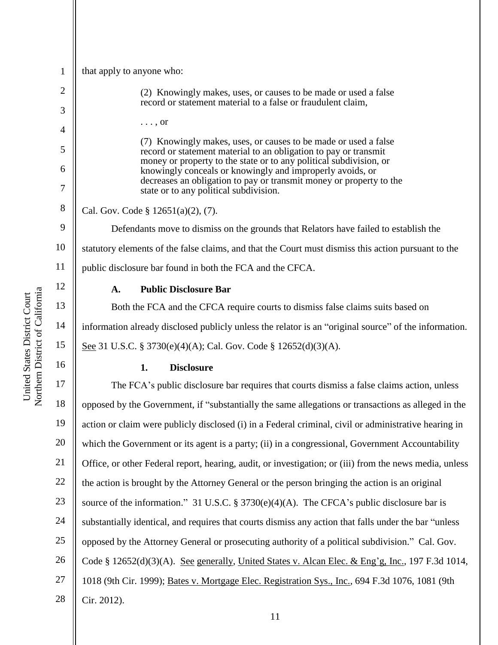| $\mathbf{1}$   | that apply to anyone who:                                                                                                           |
|----------------|-------------------------------------------------------------------------------------------------------------------------------------|
| $\overline{2}$ | (2) Knowingly makes, uses, or causes to be made or used a false                                                                     |
| 3              | record or statement material to a false or fraudulent claim,                                                                        |
| $\overline{4}$ | $\ldots$ , or                                                                                                                       |
| 5              | (7) Knowingly makes, uses, or causes to be made or used a false<br>record or statement material to an obligation to pay or transmit |
| 6              | money or property to the state or to any political subdivision, or<br>knowingly conceals or knowingly and improperly avoids, or     |
| 7              | decreases an obligation to pay or transmit money or property to the<br>state or to any political subdivision.                       |
| 8              | Cal. Gov. Code $\S$ 12651(a)(2), (7).                                                                                               |
| 9              | Defendants move to dismiss on the grounds that Relators have failed to establish the                                                |
| 10             | statutory elements of the false claims, and that the Court must dismiss this action pursuant to the                                 |
| 11             | public disclosure bar found in both the FCA and the CFCA.                                                                           |
| 12             | <b>Public Disclosure Bar</b><br>A.                                                                                                  |
| 13             | Both the FCA and the CFCA require courts to dismiss false claims suits based on                                                     |
| 14             | information already disclosed publicly unless the relator is an "original source" of the information.                               |
|                |                                                                                                                                     |
| 15             | See 31 U.S.C. § 3730(e)(4)(A); Cal. Gov. Code § 12652(d)(3)(A).                                                                     |
| 16             | <b>Disclosure</b><br>1.                                                                                                             |
| 17             | The FCA's public disclosure bar requires that courts dismiss a false claims action, unless                                          |
| 18             | opposed by the Government, if "substantially the same allegations or transactions as alleged in the                                 |
| 19             | action or claim were publicly disclosed (i) in a Federal criminal, civil or administrative hearing in                               |
| 20             | which the Government or its agent is a party; (ii) in a congressional, Government Accountability                                    |
| 21             | Office, or other Federal report, hearing, audit, or investigation; or (iii) from the news media, unless                             |
| 22             | the action is brought by the Attorney General or the person bringing the action is an original                                      |
| 23             | source of the information." 31 U.S.C. § 3730(e)(4)(A). The CFCA's public disclosure bar is                                          |
| 24             | substantially identical, and requires that courts dismiss any action that falls under the bar "unless"                              |
| 25             | opposed by the Attorney General or prosecuting authority of a political subdivision." Cal. Gov.                                     |
| 26             | Code § 12652(d)(3)(A). See generally, United States v. Alcan Elec. & Eng'g, Inc., 197 F.3d 1014,                                    |
| 27             | 1018 (9th Cir. 1999); Bates v. Mortgage Elec. Registration Sys., Inc., 694 F.3d 1076, 1081 (9th                                     |

United States District Court<br>Northern District of California Northern District of California United States District Court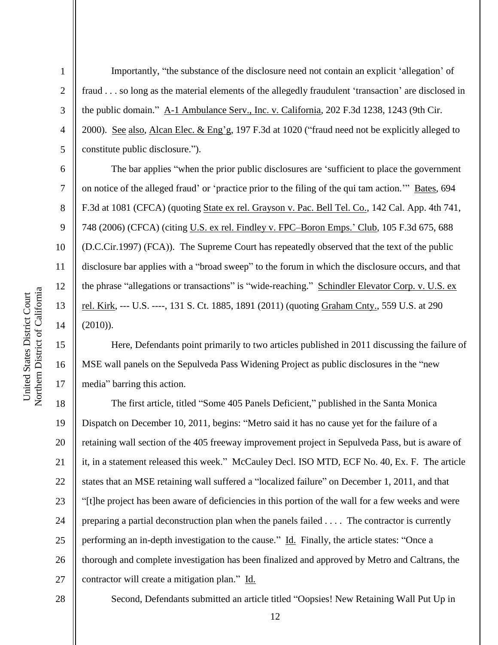2

3

4

5

6

7

8

9

10

11

12

13

14

15

16

17

Importantly, "the substance of the disclosure need not contain an explicit 'allegation' of fraud . . . so long as the material elements of the allegedly fraudulent 'transaction' are disclosed in the public domain." A-1 Ambulance Serv., Inc. v. California, 202 F.3d 1238, 1243 (9th Cir. 2000). See also, Alcan Elec. & Eng'g, 197 F.3d at 1020 ("fraud need not be explicitly alleged to constitute public disclosure.").

The bar applies "when the prior public disclosures are 'sufficient to place the government on notice of the alleged fraud' or 'practice prior to the filing of the qui tam action.'" Bates, 694 F.3d at 1081 (CFCA) (quoting State ex rel. Grayson v. Pac. Bell Tel. Co., 142 Cal. App. 4th 741, 748 (2006) (CFCA) (citing U.S. ex rel. Findley v. FPC–Boron Emps.' Club, 105 F.3d 675, 688 (D.C.Cir.1997) (FCA)). The Supreme Court has repeatedly observed that the text of the public disclosure bar applies with a "broad sweep" to the forum in which the disclosure occurs, and that the phrase "allegations or transactions" is "wide-reaching." Schindler Elevator Corp. v. U.S. ex rel. Kirk, --- U.S. ----, 131 S. Ct. 1885, 1891 (2011) (quoting Graham Cnty., 559 U.S. at 290 (2010)).

Here, Defendants point primarily to two articles published in 2011 discussing the failure of MSE wall panels on the Sepulveda Pass Widening Project as public disclosures in the "new media" barring this action.

18 19 20 21 22 23 24 25 26 27 The first article, titled "Some 405 Panels Deficient," published in the Santa Monica Dispatch on December 10, 2011, begins: "Metro said it has no cause yet for the failure of a retaining wall section of the 405 freeway improvement project in Sepulveda Pass, but is aware of it, in a statement released this week." McCauley Decl. ISO MTD, ECF No. 40, Ex. F. The article states that an MSE retaining wall suffered a "localized failure" on December 1, 2011, and that "[t]he project has been aware of deficiencies in this portion of the wall for a few weeks and were preparing a partial deconstruction plan when the panels failed . . . . The contractor is currently performing an in-depth investigation to the cause." Id. Finally, the article states: "Once a thorough and complete investigation has been finalized and approved by Metro and Caltrans, the contractor will create a mitigation plan." Id.

28

Second, Defendants submitted an article titled "Oopsies! New Retaining Wall Put Up in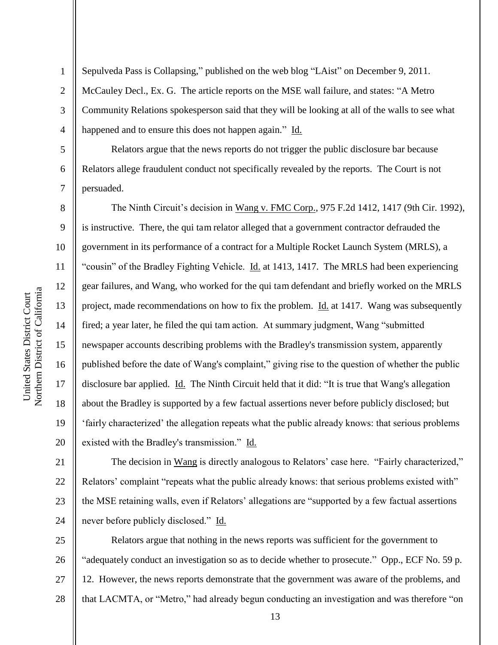2 3 4 Sepulveda Pass is Collapsing," published on the web blog "LAist" on December 9, 2011. McCauley Decl., Ex. G. The article reports on the MSE wall failure, and states: "A Metro Community Relations spokesperson said that they will be looking at all of the walls to see what happened and to ensure this does not happen again." Id.

Relators argue that the news reports do not trigger the public disclosure bar because Relators allege fraudulent conduct not specifically revealed by the reports. The Court is not persuaded.

The Ninth Circuit's decision in Wang v. FMC Corp., 975 F.2d 1412, 1417 (9th Cir. 1992), is instructive. There, the qui tam relator alleged that a government contractor defrauded the government in its performance of a contract for a Multiple Rocket Launch System (MRLS), a "cousin" of the Bradley Fighting Vehicle. Id. at 1413, 1417. The MRLS had been experiencing gear failures, and Wang, who worked for the qui tam defendant and briefly worked on the MRLS project, made recommendations on how to fix the problem. Id. at 1417. Wang was subsequently fired; a year later, he filed the qui tam action. At summary judgment, Wang "submitted newspaper accounts describing problems with the Bradley's transmission system, apparently published before the date of Wang's complaint," giving rise to the question of whether the public disclosure bar applied. Id. The Ninth Circuit held that it did: "It is true that Wang's allegation about the Bradley is supported by a few factual assertions never before publicly disclosed; but 'fairly characterized' the allegation repeats what the public already knows: that serious problems existed with the Bradley's transmission." Id.

21 22 23 24 The decision in Wang is directly analogous to Relators' case here. "Fairly characterized," Relators' complaint "repeats what the public already knows: that serious problems existed with" the MSE retaining walls, even if Relators' allegations are "supported by a few factual assertions never before publicly disclosed." Id.

25 26 27 28 Relators argue that nothing in the news reports was sufficient for the government to "adequately conduct an investigation so as to decide whether to prosecute." Opp., ECF No. 59 p. 12. However, the news reports demonstrate that the government was aware of the problems, and that LACMTA, or "Metro," had already begun conducting an investigation and was therefore "on

1

5

6

7

8

9

10

11

12

13

14

15

16

17

18

19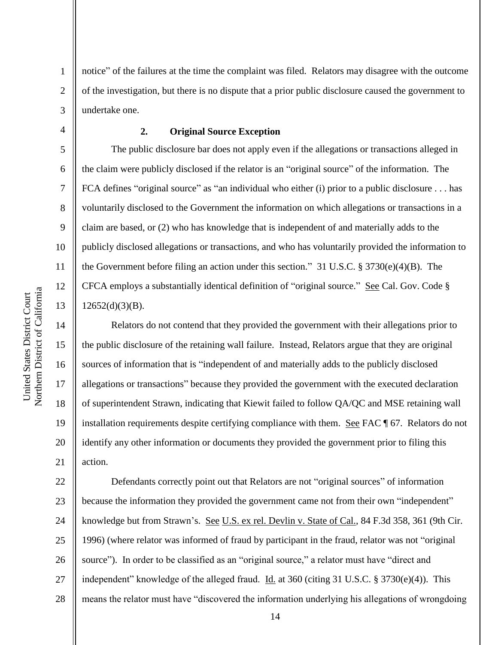2 3 notice" of the failures at the time the complaint was filed. Relators may disagree with the outcome of the investigation, but there is no dispute that a prior public disclosure caused the government to undertake one.

1

4

5

6

7

8

9

10

11

12

13

14

15

16

17

18

19

20

21

## **2. Original Source Exception**

The public disclosure bar does not apply even if the allegations or transactions alleged in the claim were publicly disclosed if the relator is an "original source" of the information. The FCA defines "original source" as "an individual who either (i) prior to a public disclosure . . . has voluntarily disclosed to the Government the information on which allegations or transactions in a claim are based, or (2) who has knowledge that is independent of and materially adds to the publicly disclosed allegations or transactions, and who has voluntarily provided the information to the Government before filing an action under this section." 31 U.S.C. § 3730(e)(4)(B). The CFCA employs a substantially identical definition of "original source." See Cal. Gov. Code §  $12652(d)(3)(B)$ .

Relators do not contend that they provided the government with their allegations prior to the public disclosure of the retaining wall failure. Instead, Relators argue that they are original sources of information that is "independent of and materially adds to the publicly disclosed allegations or transactions" because they provided the government with the executed declaration of superintendent Strawn, indicating that Kiewit failed to follow QA/QC and MSE retaining wall installation requirements despite certifying compliance with them. See FAC ¶ 67. Relators do not identify any other information or documents they provided the government prior to filing this action.

22 23 24 25 26 27 28 Defendants correctly point out that Relators are not "original sources" of information because the information they provided the government came not from their own "independent" knowledge but from Strawn's. See U.S. ex rel. Devlin v. State of Cal., 84 F.3d 358, 361 (9th Cir. 1996) (where relator was informed of fraud by participant in the fraud, relator was not "original source"). In order to be classified as an "original source," a relator must have "direct and independent" knowledge of the alleged fraud. Id. at 360 (citing 31 U.S.C. § 3730(e)(4)). This means the relator must have "discovered the information underlying his allegations of wrongdoing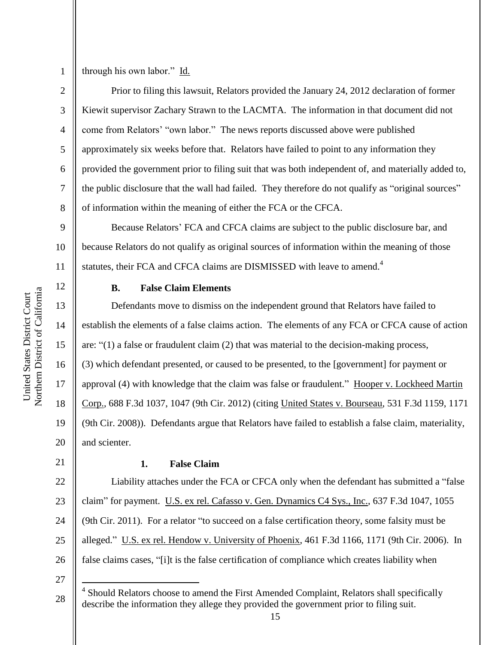3

4

5

6

7

8

through his own labor." Id.

Prior to filing this lawsuit, Relators provided the January 24, 2012 declaration of former Kiewit supervisor Zachary Strawn to the LACMTA. The information in that document did not come from Relators' "own labor." The news reports discussed above were published approximately six weeks before that. Relators have failed to point to any information they provided the government prior to filing suit that was both independent of, and materially added to, the public disclosure that the wall had failed. They therefore do not qualify as "original sources" of information within the meaning of either the FCA or the CFCA.

9 10 11 Because Relators' FCA and CFCA claims are subject to the public disclosure bar, and because Relators do not qualify as original sources of information within the meaning of those statutes, their FCA and CFCA claims are DISMISSED with leave to amend.<sup>4</sup>

# 12 13

14

15

16

17

18

19

20

#### **B. False Claim Elements**

Defendants move to dismiss on the independent ground that Relators have failed to establish the elements of a false claims action. The elements of any FCA or CFCA cause of action are: "(1) a false or fraudulent claim (2) that was material to the decision-making process, (3) which defendant presented, or caused to be presented, to the [government] for payment or approval (4) with knowledge that the claim was false or fraudulent." Hooper v. Lockheed Martin Corp., 688 F.3d 1037, 1047 (9th Cir. 2012) (citing United States v. Bourseau, 531 F.3d 1159, 1171 (9th Cir. 2008)). Defendants argue that Relators have failed to establish a false claim, materiality, and scienter.

21

## **1. False Claim**

22 23 24 25 26 Liability attaches under the FCA or CFCA only when the defendant has submitted a "false claim" for payment. U.S. ex rel. Cafasso v. Gen. Dynamics C4 Sys., Inc., 637 F.3d 1047, 1055 (9th Cir. 2011). For a relator "to succeed on a false certification theory, some falsity must be alleged." U.S. ex rel. Hendow v. University of Phoenix, 461 F.3d 1166, 1171 (9th Cir. 2006). In false claims cases, "[i]t is the false certification of compliance which creates liability when

27

 $\overline{a}$ 

<sup>28</sup>  4 Should Relators choose to amend the First Amended Complaint, Relators shall specifically describe the information they allege they provided the government prior to filing suit.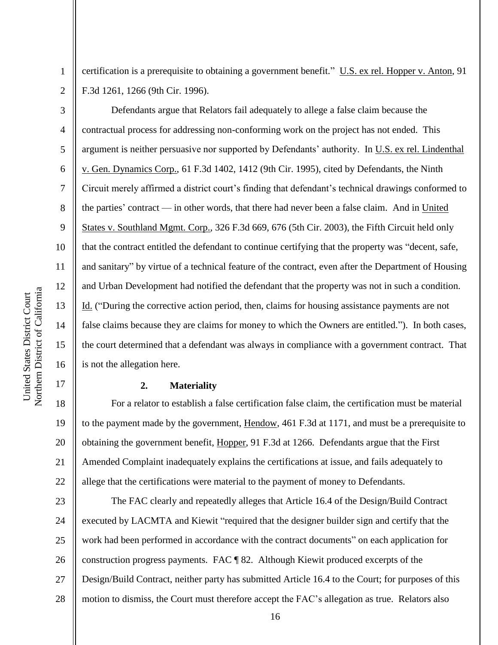4

5

6

7

8

9

10

11

12

13

14

15

16

17

1

certification is a prerequisite to obtaining a government benefit." U.S. ex rel. Hopper v. Anton, 91 F.3d 1261, 1266 (9th Cir. 1996).

Defendants argue that Relators fail adequately to allege a false claim because the contractual process for addressing non-conforming work on the project has not ended. This argument is neither persuasive nor supported by Defendants' authority. In U.S. ex rel. Lindenthal v. Gen. Dynamics Corp., 61 F.3d 1402, 1412 (9th Cir. 1995), cited by Defendants, the Ninth Circuit merely affirmed a district court's finding that defendant's technical drawings conformed to the parties' contract — in other words, that there had never been a false claim. And in United States v. Southland Mgmt. Corp., 326 F.3d 669, 676 (5th Cir. 2003), the Fifth Circuit held only that the contract entitled the defendant to continue certifying that the property was "decent, safe, and sanitary" by virtue of a technical feature of the contract, even after the Department of Housing and Urban Development had notified the defendant that the property was not in such a condition. Id. ("During the corrective action period, then, claims for housing assistance payments are not false claims because they are claims for money to which the Owners are entitled."). In both cases, the court determined that a defendant was always in compliance with a government contract. That is not the allegation here.

#### **2. Materiality**

18 19 20 21 22 For a relator to establish a false certification false claim, the certification must be material to the payment made by the government, Hendow, 461 F.3d at 1171, and must be a prerequisite to obtaining the government benefit, Hopper, 91 F.3d at 1266. Defendants argue that the First Amended Complaint inadequately explains the certifications at issue, and fails adequately to allege that the certifications were material to the payment of money to Defendants.

23 24 25 26 27 28 The FAC clearly and repeatedly alleges that Article 16.4 of the Design/Build Contract executed by LACMTA and Kiewit "required that the designer builder sign and certify that the work had been performed in accordance with the contract documents" on each application for construction progress payments. FAC ¶ 82. Although Kiewit produced excerpts of the Design/Build Contract, neither party has submitted Article 16.4 to the Court; for purposes of this motion to dismiss, the Court must therefore accept the FAC's allegation as true. Relators also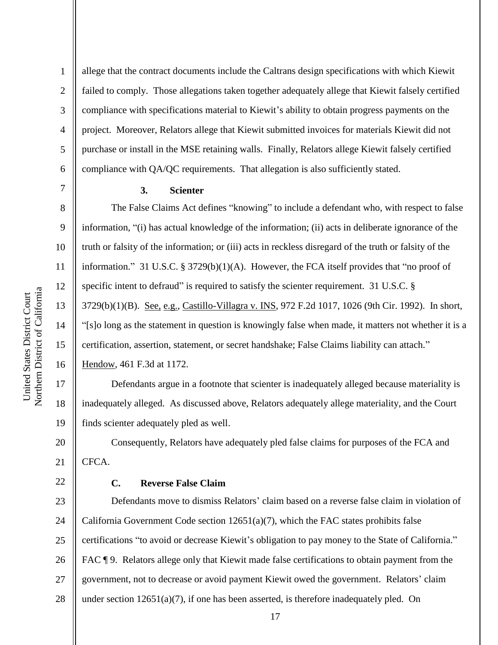2

3

4

5

6

7

8

9

10

11

12

13

14

15

16

22

allege that the contract documents include the Caltrans design specifications with which Kiewit failed to comply. Those allegations taken together adequately allege that Kiewit falsely certified compliance with specifications material to Kiewit's ability to obtain progress payments on the project. Moreover, Relators allege that Kiewit submitted invoices for materials Kiewit did not purchase or install in the MSE retaining walls. Finally, Relators allege Kiewit falsely certified compliance with QA/QC requirements. That allegation is also sufficiently stated.

# **3. Scienter**

The False Claims Act defines "knowing" to include a defendant who, with respect to false information, "(i) has actual knowledge of the information; (ii) acts in deliberate ignorance of the truth or falsity of the information; or (iii) acts in reckless disregard of the truth or falsity of the information." 31 U.S.C. § 3729(b)(1)(A). However, the FCA itself provides that "no proof of specific intent to defraud" is required to satisfy the scienter requirement. 31 U.S.C. § 3729(b)(1)(B). See, e.g., Castillo-Villagra v. INS, 972 F.2d 1017, 1026 (9th Cir. 1992). In short, "[s]o long as the statement in question is knowingly false when made, it matters not whether it is a certification, assertion, statement, or secret handshake; False Claims liability can attach." Hendow, 461 F.3d at 1172.

17 18 19 Defendants argue in a footnote that scienter is inadequately alleged because materiality is inadequately alleged. As discussed above, Relators adequately allege materiality, and the Court finds scienter adequately pled as well.

20 21 Consequently, Relators have adequately pled false claims for purposes of the FCA and CFCA.

#### **C. Reverse False Claim**

23 24 25 26 27 28 Defendants move to dismiss Relators' claim based on a reverse false claim in violation of California Government Code section  $12651(a)(7)$ , which the FAC states prohibits false certifications "to avoid or decrease Kiewit's obligation to pay money to the State of California." FAC ¶ 9. Relators allege only that Kiewit made false certifications to obtain payment from the government, not to decrease or avoid payment Kiewit owed the government. Relators' claim under section  $12651(a)(7)$ , if one has been asserted, is therefore inadequately pled. On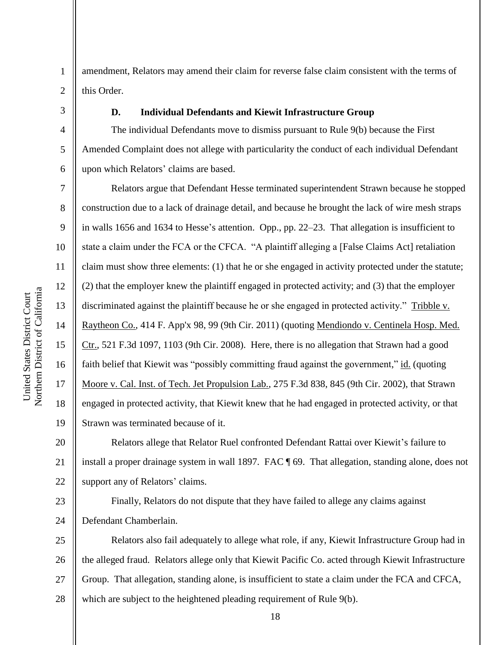this Order.

4

5

6

7

8

9

10

11

12

13

14

15

16

17

18

19

1

#### **D. Individual Defendants and Kiewit Infrastructure Group**

The individual Defendants move to dismiss pursuant to Rule 9(b) because the First Amended Complaint does not allege with particularity the conduct of each individual Defendant upon which Relators' claims are based.

amendment, Relators may amend their claim for reverse false claim consistent with the terms of

Relators argue that Defendant Hesse terminated superintendent Strawn because he stopped construction due to a lack of drainage detail, and because he brought the lack of wire mesh straps in walls 1656 and 1634 to Hesse's attention. Opp., pp. 22–23. That allegation is insufficient to state a claim under the FCA or the CFCA. "A plaintiff alleging a [False Claims Act] retaliation claim must show three elements: (1) that he or she engaged in activity protected under the statute; (2) that the employer knew the plaintiff engaged in protected activity; and (3) that the employer discriminated against the plaintiff because he or she engaged in protected activity." Tribble v. Raytheon Co., 414 F. App'x 98, 99 (9th Cir. 2011) (quoting Mendiondo v. Centinela Hosp. Med. Ctr., 521 F.3d 1097, 1103 (9th Cir. 2008). Here, there is no allegation that Strawn had a good faith belief that Kiewit was "possibly committing fraud against the government," id. (quoting Moore v. Cal. Inst. of Tech. Jet Propulsion Lab., 275 F.3d 838, 845 (9th Cir. 2002), that Strawn engaged in protected activity, that Kiewit knew that he had engaged in protected activity, or that Strawn was terminated because of it.

20 21 22 Relators allege that Relator Ruel confronted Defendant Rattai over Kiewit's failure to install a proper drainage system in wall 1897. FAC ¶ 69. That allegation, standing alone, does not support any of Relators' claims.

23 24 Finally, Relators do not dispute that they have failed to allege any claims against Defendant Chamberlain.

25 26 27 28 Relators also fail adequately to allege what role, if any, Kiewit Infrastructure Group had in the alleged fraud. Relators allege only that Kiewit Pacific Co. acted through Kiewit Infrastructure Group. That allegation, standing alone, is insufficient to state a claim under the FCA and CFCA, which are subject to the heightened pleading requirement of Rule 9(b).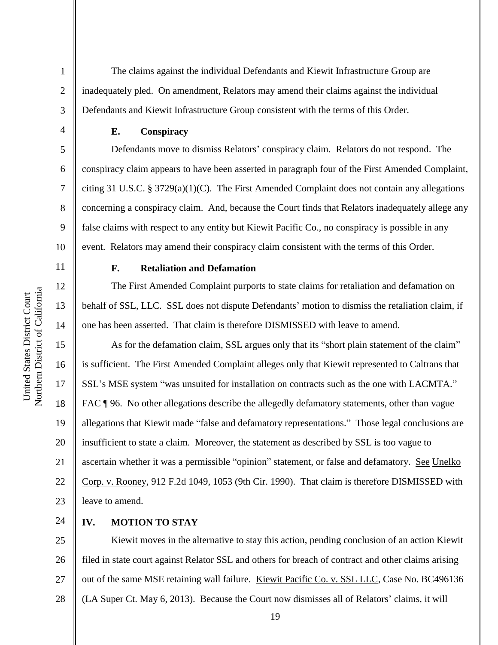The claims against the individual Defendants and Kiewit Infrastructure Group are inadequately pled. On amendment, Relators may amend their claims against the individual Defendants and Kiewit Infrastructure Group consistent with the terms of this Order.

**E. Conspiracy** 

Defendants move to dismiss Relators' conspiracy claim. Relators do not respond. The conspiracy claim appears to have been asserted in paragraph four of the First Amended Complaint, citing 31 U.S.C. § 3729(a)(1)(C). The First Amended Complaint does not contain any allegations concerning a conspiracy claim. And, because the Court finds that Relators inadequately allege any false claims with respect to any entity but Kiewit Pacific Co., no conspiracy is possible in any event. Relators may amend their conspiracy claim consistent with the terms of this Order.

11

12

13

14

17

18

19

21

23

10

1

2

3

4

5

6

7

8

9

## **F. Retaliation and Defamation**

The First Amended Complaint purports to state claims for retaliation and defamation on behalf of SSL, LLC. SSL does not dispute Defendants' motion to dismiss the retaliation claim, if one has been asserted. That claim is therefore DISMISSED with leave to amend.

15 16 20 22 As for the defamation claim, SSL argues only that its "short plain statement of the claim" is sufficient. The First Amended Complaint alleges only that Kiewit represented to Caltrans that SSL's MSE system "was unsuited for installation on contracts such as the one with LACMTA." FAC  $\P$  96. No other allegations describe the allegedly defamatory statements, other than vague allegations that Kiewit made "false and defamatory representations." Those legal conclusions are insufficient to state a claim. Moreover, the statement as described by SSL is too vague to ascertain whether it was a permissible "opinion" statement, or false and defamatory. See Unelko Corp. v. Rooney, 912 F.2d 1049, 1053 (9th Cir. 1990). That claim is therefore DISMISSED with leave to amend.

24 **IV. MOTION TO STAY** 

25 26 27 28 Kiewit moves in the alternative to stay this action, pending conclusion of an action Kiewit filed in state court against Relator SSL and others for breach of contract and other claims arising out of the same MSE retaining wall failure. Kiewit Pacific Co. v. SSL LLC, Case No. BC496136 (LA Super Ct. May 6, 2013). Because the Court now dismisses all of Relators' claims, it will